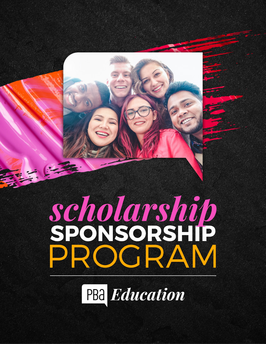

PBa Education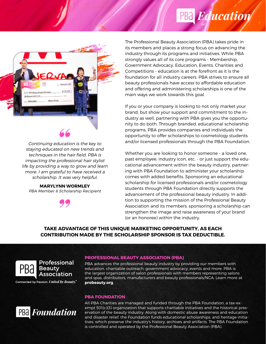## PBa Education



Continuing education is the key to staying educated on new trends and techniques in the hair field. PBA is impacting the professional hair stylist life by providing a way to grow and learn more. I am grateful to have received a scholarship. It was very helpful.

**MARYLYNN WORMLEY** PBA Member & Scholarship Recipient



The Professional Beauty Association (PBA) takes pride in its members and places a strong focus on advancing the industry through its programs and initiatives. While PBA strongly values all of its core programs - Membership, Government Advocacy, Education, Events, Charities and Competitions - education is at the forefront as it is the foundation for all industry careers. PBA strives to ensure all beauty professionals have access to affordable education and offering and administering scholarships is one of the main ways we work towards this goal.

If you or your company is looking to not only market your brand, but show your support and commitment to the industry as well, partnering with PBA gives you the opportunity to do both. Through branded, educational scholarship programs, PBA provides companies and individuals the opportunity to offer scholarships to cosmetology students and/or licensed professionals through the PBA Foundation.

Whether you are looking to honor someone - a loved one, past employee, industry icon, etc. - or just support the educational advancement within the beauty industry, partnering with PBA Foundation to administer your scholarship comes with added benefits. Sponsoring an educational scholarship for licensed professionals and/or cosmetology students through PBA Foundation directly supports the advancement of the professional beauty industry. In addition to supporting the mission of the Professional Beauty Association and its members, sponsoring a scholarship can strengthen the image and raise awareness of your brand (or an honoree) within the industry.

#### **TAKE ADVANTAGE OF THIS UNIQUE MARKETING OPPORTUNITY, AS EACH CONTRIBUTION MADE BY THE SCHOLARSHIP SPONSOR IS TAX DEDUCTIBLE.**



#### Professional Beautv Association

Connected by Passion. United by Beauty."



#### **PROFESSIONAL BEAUTY ASSOCIATION (PBA)**

PBA advances the professional beauty industry by providing our members with education, charitable outreach, government advocacy, events and more. PBA is the largest organization of salon professionals with members representing salons and spas, distributors, manufacturers and beauty professionals/NCA. Learn more at **probeauty.org**.

#### **PBA FOUNDATION**

All PBA Charities are managed and funded through the PBA Foundation, a tax-exempt 501(c)(3) organization that supports charitable initiatives and the historical preservation of the beauty industry. Along with domestic abuse awareness and education and disaster relief, the Foundation funds educational scholarships, and heritage initiatives, which preserve the industry's history, archives and artifacts. The PBA Foundation is controlled and operated by the Professional Beauty Association (PBA).